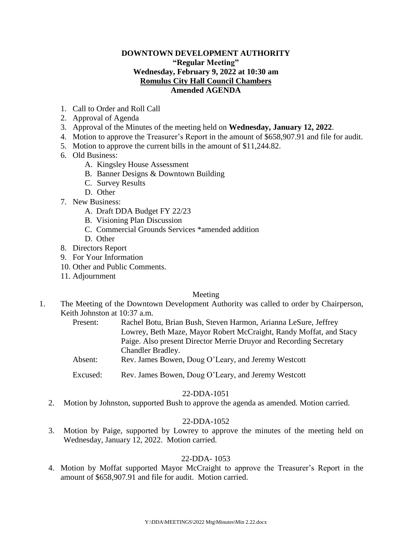### **DOWNTOWN DEVELOPMENT AUTHORITY "Regular Meeting" Wednesday, February 9, 2022 at 10:30 am Romulus City Hall Council Chambers Amended AGENDA**

- 1. Call to Order and Roll Call
- 2. Approval of Agenda
- 3. Approval of the Minutes of the meeting held on **Wednesday, January 12, 2022**.
- 4. Motion to approve the Treasurer's Report in the amount of \$658,907.91 and file for audit.
- 5. Motion to approve the current bills in the amount of \$11,244.82.
- 6. Old Business:
	- A. Kingsley House Assessment
	- B. Banner Designs & Downtown Building
	- C. Survey Results
	- D. Other
- 7. New Business:
	- A. Draft DDA Budget FY 22/23
	- B. Visioning Plan Discussion
	- C. Commercial Grounds Services \*amended addition
	- D. Other
- 8. Directors Report
- 9. For Your Information
- 10. Other and Public Comments.
- 11. Adjournment

### Meeting

- 1. The Meeting of the Downtown Development Authority was called to order by Chairperson, Keith Johnston at 10:37 a.m.
	- Present: Rachel Botu, Brian Bush, Steven Harmon, Arianna LeSure, Jeffrey Lowrey, Beth Maze, Mayor Robert McCraight, Randy Moffat, and Stacy Paige. Also present Director Merrie Druyor and Recording Secretary Chandler Bradley.
	- Absent: Rev. James Bowen, Doug O'Leary, and Jeremy Westcott
	- Excused: Rev. James Bowen, Doug O'Leary, and Jeremy Westcott

### 22-DDA-1051

2. Motion by Johnston, supported Bush to approve the agenda as amended. Motion carried.

### 22-DDA-1052

3. Motion by Paige, supported by Lowrey to approve the minutes of the meeting held on Wednesday, January 12, 2022. Motion carried.

### 22-DDA- 1053

4. Motion by Moffat supported Mayor McCraight to approve the Treasurer's Report in the amount of \$658,907.91 and file for audit. Motion carried.